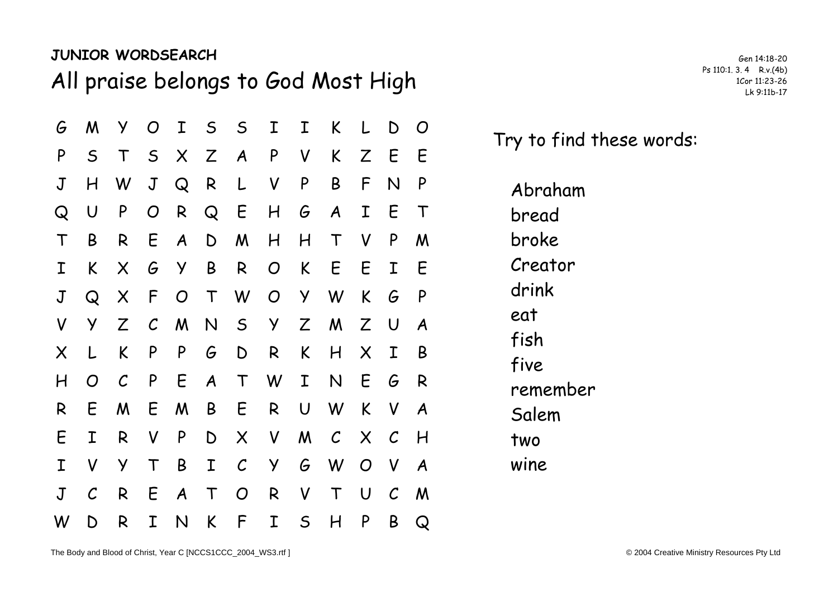## **JUNIOR WORDSEARCH**

All praise belongs to God Most High Ps 110:1. 3.4 R.v.(4b) Ps 110:1. 3.4 R.v.(4b)

| G              | M             | У            | $\overline{O}$ | I                | S                | $\mathsf{S}$     | I              | I            | K                | L                         | D             | O           |  |
|----------------|---------------|--------------|----------------|------------------|------------------|------------------|----------------|--------------|------------------|---------------------------|---------------|-------------|--|
| P              | $\mathsf S$   | $\top$       | S              |                  | X Z              | $\boldsymbol{A}$ | P              | V            | K.               | Z                         | E             | E           |  |
| $\mathsf J$    | H             | W            | $\mathsf J$    | $\mathsf{Q}$     | R                | L                | $\mathsf{V}$   | P            | B                | F                         | N             | P           |  |
| Q              | $\cup$        | P            | O              | R                | $\mathsf{Q}$     | E                | H              | G            | $\boldsymbol{A}$ | $\mathbf I$               | E             | $\mathsf T$ |  |
| $\top$         | B             | R            | E              | $\boldsymbol{A}$ | D                | M                | H              | H            | $\top$           | V                         | P             | M           |  |
| I              | K             | X            | G              | Y                | B                | R                | $\overline{O}$ | K            | E                | E.                        | $\mathbf I$   | E           |  |
| $\mathbf J$    | $\mathsf Q$   | X            | $\mathsf{F}$   | O                | $\top$           | W                | $\overline{O}$ | Y            | W                | K                         | G             | P           |  |
| V              | Y             | Z            | $\mathcal C$   | M                | N                | S                | Y              | Z            | M                | Z                         | U             | A           |  |
| X              | L             | K            | P              | P                | G                | D                | R.             | K            | H                | $\boldsymbol{\mathsf{X}}$ | I             | B           |  |
| H              | O             | $\mathcal C$ | P              | $E_{\parallel}$  | $\boldsymbol{A}$ | $\top$           | W              | I            | $\mathsf{N}$     | E                         | G             | R           |  |
| R              | E             | M            | E              | M                | B                | E                | R              | $\bigcup$    | W                | K                         | $\mathsf{V}$  | A           |  |
| E              | I             | R            | V              | P                | $\mathsf D$      | $\times$         | V              | M            | $\mathcal{C}$    | $\times$                  | $\mathcal{C}$ | H           |  |
| Ι              | V             | Y            | $\top$         | B                | $\mathbf I$      | $\mathcal{C}$    | Y              | G            | W                | $\overline{O}$            | $\mathsf{V}$  | A           |  |
| $\overline{J}$ | $\mathcal{C}$ | R            | E              | $\boldsymbol{A}$ | $\top$           | $\overline{O}$   | R              | V            | $\top$           | $\cup$                    | $\mathcal{C}$ | M           |  |
| W              | D             | R            | I              | N                | K                | F                | I              | $\mathsf{S}$ | H                | P                         | B             | Q           |  |

Gen 14:18-20

Try to find these words:

Abraham bread broke Creator drink eat fish five remember Salem two wine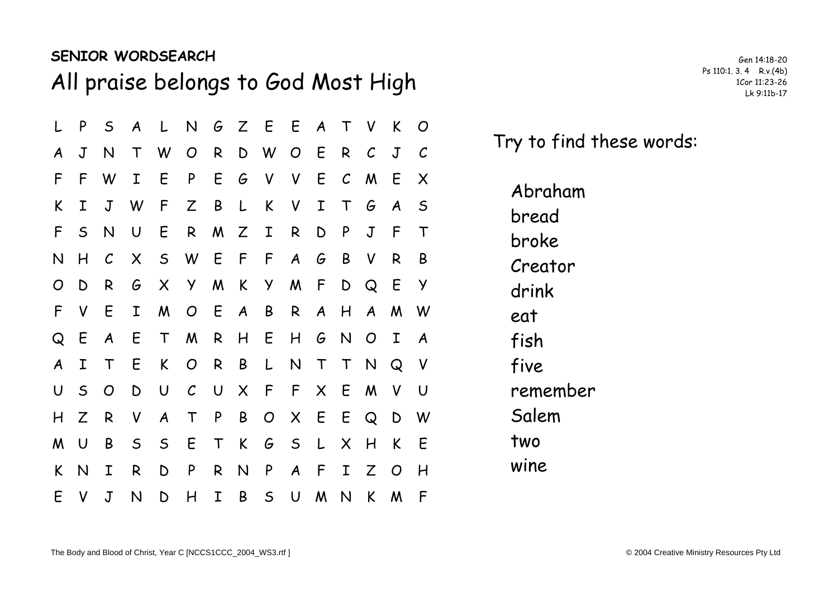## **SENIOR WORDSEARCH**

All praise belongs to God Most High Ps 110:1. 3.4 R.v.(4b)

|   | P            | $\mathsf{S}$     | $\boldsymbol{A}$ | $\mathsf{L}$              | N              |             |              | G Z E E A T    |              |              |                           | V              | K                | $\overline{O}$ |  |
|---|--------------|------------------|------------------|---------------------------|----------------|-------------|--------------|----------------|--------------|--------------|---------------------------|----------------|------------------|----------------|--|
| A | J            | N                | $\mathsf T$      | W                         | $\overline{O}$ | R           |              | D W            | O E          |              | R                         | $\mathcal C$   | $\mathsf J$      | $\mathcal C$   |  |
| F | F            | W                | I                | E                         | P              | E           | G            | $\mathsf{V}$   | $\mathsf{V}$ | E            | $\mathcal C$              | M              | E                | X              |  |
| K | Ι            | $\mathsf J$      | W                | F                         | Z              | B           | L            | K              | $\mathsf{V}$ | $\mathbf I$  | $\top$                    | G              | $\boldsymbol{A}$ | -S             |  |
| F | $\mathsf{S}$ | N                | $\cup$           | E                         | R              | M Z         |              | I              | R            | D            | P                         | $\mathbf J$    | F                | $\mathsf T$    |  |
| N | H            | $\mathcal C$     | $\times$         | S                         | W              | E F         |              | F              | A            | G            | B                         | V              | R                | B              |  |
| O | D            | R                | G                | $\boldsymbol{\mathsf{X}}$ | Y.             | M           | K            | Y              | M            | $\sqrt{2}$   | D                         | $\mathsf{Q}$   | E                | Y              |  |
| F | V            | E                | I                | M                         |                | O E A       |              | B              | $\mathsf{R}$ |              | A H                       |                | A M              | W              |  |
| Q | E            | $\boldsymbol{A}$ | E                | $\top$                    | M              | R           | H            | - E            | H            |              | G N                       | $\overline{O}$ | Ι                | A              |  |
| A | Ι            | $\top$           | E                | K                         | $\overline{O}$ | R           | B            | $\lfloor$      | $\mathsf{N}$ | $\mathsf T$  | $\top$                    | N              | $\mathsf{Q}$     | $\mathsf{V}$   |  |
| U | $\mathsf{S}$ | $\overline{O}$   | D                | $\bigcup$                 | $\mathcal{C}$  | $\bigcup$   | $\mathsf{X}$ | $\sqrt{F}$     | F            |              | X E                       | M              | $\mathsf{V}$     | U              |  |
| H | Z            | R                | $\mathsf{V}$     | $\boldsymbol{A}$          | $\mathsf T$    | P           | B            | $\overline{O}$ | X E          |              | E Q                       |                | D                | W              |  |
| M | U            | B                | $\mathsf{S}$     | $\mathsf{S}$              | E              | T           | $\mathsf{K}$ | G              | $\mathsf{S}$ | $\mathsf{L}$ | $\boldsymbol{\mathsf{X}}$ | H              | K                | E              |  |
| K | N            | I                | R                | D                         | P              | R           | $\mathsf{N}$ | P              | A F          |              | $\mathbf I$               | Z              | $\overline{O}$   | H              |  |
| E | V            | $\sf J$          | $\mathsf{N}$     | D                         | H              | $\mathbf I$ | B            | $\mathsf S$    | $\cup$       | M            | N                         | K              | M                | F              |  |

Gen 14:18-20

Try to find these words:

Abraham bread broke Creator drink eat fish five remember Salem two wine